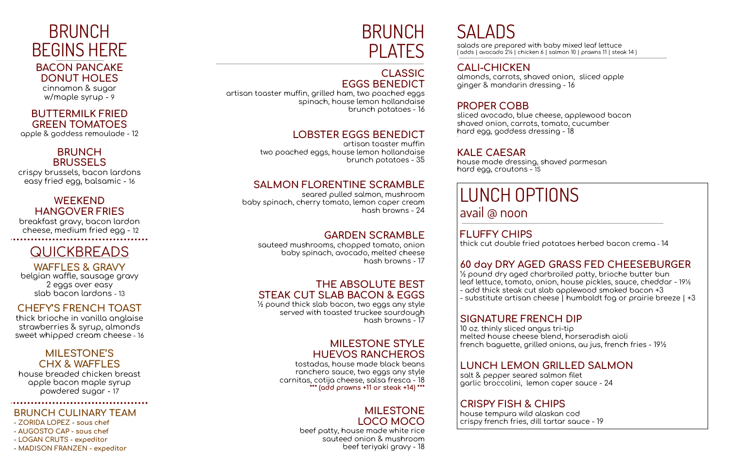## BRUNCH BEGINS HERE

#### **BACON PANCAKE DONUT HOLES**

cinnamon & sugar w/maple syrup - 9

#### **BUTTERMILK FRIED GREEN TOMATOES**

apple & goddess remoulade - 12

#### **BRUNCH BRUSSELS**

crispy brussels, bacon lardons easy fried egg, balsamic - 16

belgian waffle, sausage gravy 2 eggs over easy slab bacon lardons - 13

#### **WEEKEND HANGOVER FRIES**

breakfast gravy, bacon lardon cheese, medium fried egg - 12

### **QUICKBREADS**

### **WAFFLES & GRAVY**

### **BRUNCH** PLATES

#### **CHEFY'S FRENCH TOAST**

artisan toaster muffin, grilled ham, two poached eggs spinach, house lemon hollandaise brunch potatoes - 16

thick brioche in vanilla anglaise strawberries & syrup, almonds sweet whipped cream cheese - 16

artisan toaster muffin two poached eggs, house lemon hollandaise brunch potatoes - 35

#### **MILESTONE'S CHX & WAFFLES**

house breaded chicken breast apple bacon maple syrup powdered sugar - 17

#### 

#### **BRUNCH CULINARY TEAM**

- **- ZORIDA LOPEZ - sous chef**
- **- AUGOSTO CAP - sous chef**
- **- LOGAN CRUTS - expeditor**
- **- MADISON FRANZEN - expeditor**

#### **CLASSIC EGGS BENEDICT**

#### **LOBSTER EGGS BENEDICT**

#### **SALMON FLORENTINE SCRAMBLE**

seared pulled salmon, mushroom baby spinach, cherry tomato, lemon caper cream hash browns - 24

#### **GARDEN SCRAMBLE**

sauteed mushrooms, chopped tomato, onion baby spinach, avocado, melted cheese hash browns - 17

#### **THE ABSOLUTE BEST STEAK CUT SLAB BACON & EGGS**

½ pound thick slab bacon, two eggs any style served with toasted truckee sourdough hash browns - 17

#### **MILESTONE STYLE HUEVOS RANCHEROS**

tostadas, house made black beans ranchero sauce, two eggs any style carnitas, cotija cheese, salsa fresca - 18 **\*\*\* (add prawns +11 or steak +14) \*\*\***

#### **MILESTONE LOCO MOCO**

beef patty, house made white rice sauteed onion & mushroom beef teriyaki gravy - 18

# **SALADS**

salads are prepared with baby mixed leaf lettuce ( adds | avocado 2½ | chicken 6 | salmon 10 | prawns 11 | steak 14 )

# **CALI-CHICKEN**

```
almonds, carrots, shaved onion, sliced apple
```
ginger & mandarin dressing - 16

#### **PROPER COBB**

```
sliced avocado, blue cheese, applewood bacon
```
shaved onion, carrots, tomato, cucumber hard egg, goddess dressing - 18

'

#### **KALE CAESAR**

house made dressing, shaved parmesan hard egg, croutons - 15

### LUNCH OPTIONS avail @ noon

**FLUFFY CHIPS** thick cut double fried potatoes herbed bacon crema - 14

#### **60 day DRY AGED GRASS FED CHEESEBURGER**

½ pound dry aged charbroiled patty, brioche butter bun leaf lettuce, tomato, onion, house pickles, sauce, cheddar - 19½ - add thick steak cut slab applewood smoked bacon +3 - substitute artisan cheese | humboldt fog or prairie breeze | +3

#### **SIGNATURE FRENCH DIP**

10 oz. thinly sliced angus tri-tip melted house cheese blend, horseradish aioli french baguette, grilled onions, au jus, french fries - 19½

#### **LUNCH LEMON GRILLED SALMON**

salt & pepper seared salmon filet garlic broccolini, lemon caper sauce - 24

#### **CRISPY FISH & CHIPS** house tempura wild alaskan cod crispy french fries, dill tartar sauce - 19